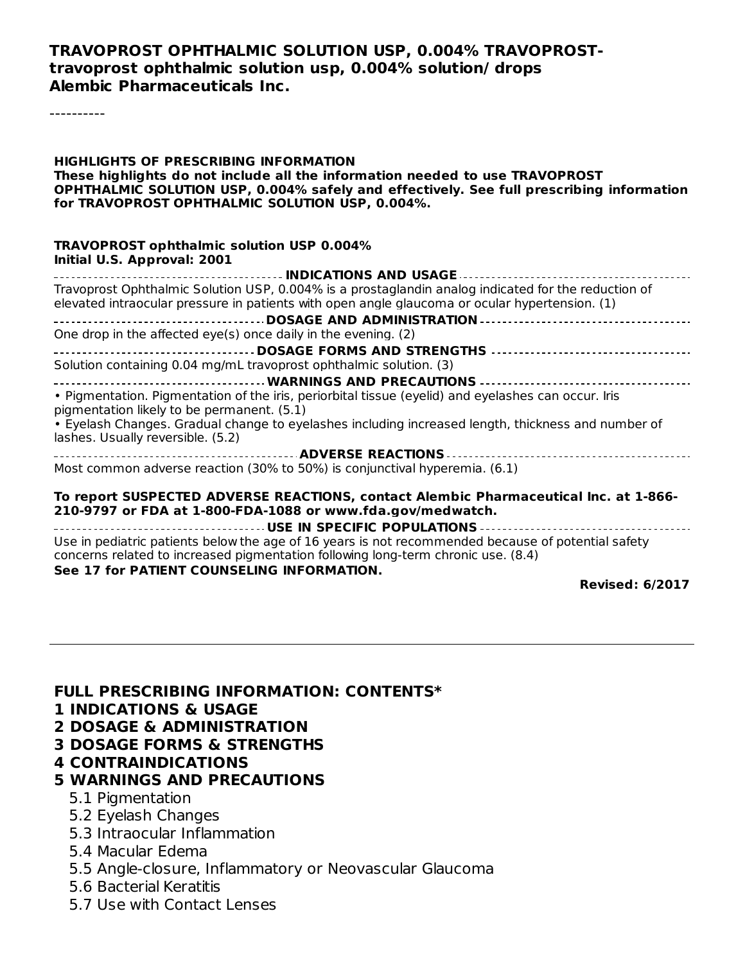#### **TRAVOPROST OPHTHALMIC SOLUTION USP, 0.004% TRAVOPROSTtravoprost ophthalmic solution usp, 0.004% solution/ drops Alembic Pharmaceuticals Inc.**

----------

**HIGHLIGHTS OF PRESCRIBING INFORMATION These highlights do not include all the information needed to use TRAVOPROST OPHTHALMIC SOLUTION USP, 0.004% safely and effectively. See full prescribing information for TRAVOPROST OPHTHALMIC SOLUTION USP, 0.004%. TRAVOPROST ophthalmic solution USP 0.004% Initial U.S. Approval: 2001 INDICATIONS AND USAGE** Travoprost Ophthalmic Solution USP, 0.004% is a prostaglandin analog indicated for the reduction of elevated intraocular pressure in patients with open angle glaucoma or ocular hypertension. (1) **DOSAGE AND ADMINISTRATION** One drop in the affected eye(s) once daily in the evening. (2) **DOSAGE FORMS AND STRENGTHS** Solution containing 0.04 mg/mL travoprost ophthalmic solution. (3) **WARNINGS AND PRECAUTIONS** • Pigmentation. Pigmentation of the iris, periorbital tissue (eyelid) and eyelashes can occur. Iris pigmentation likely to be permanent. (5.1) • Eyelash Changes. Gradual change to eyelashes including increased length, thickness and number of lashes. Usually reversible. (5.2) **ADVERSE REACTIONS** Most common adverse reaction (30% to 50%) is conjunctival hyperemia. (6.1) **To report SUSPECTED ADVERSE REACTIONS, contact Alembic Pharmaceutical Inc. at 1-866- 210-9797 or FDA at 1-800-FDA-1088 or www.fda.gov/medwatch. USE IN SPECIFIC POPULATIONS** Use in pediatric patients below the age of 16 years is not recommended because of potential safety concerns related to increased pigmentation following long-term chronic use. (8.4) **See 17 for PATIENT COUNSELING INFORMATION.**

**Revised: 6/2017**

#### **FULL PRESCRIBING INFORMATION: CONTENTS\***

- **1 INDICATIONS & USAGE**
- **2 DOSAGE & ADMINISTRATION**
- **3 DOSAGE FORMS & STRENGTHS**

#### **4 CONTRAINDICATIONS**

#### **5 WARNINGS AND PRECAUTIONS**

- 5.1 Pigmentation
- 5.2 Eyelash Changes
- 5.3 Intraocular Inflammation
- 5.4 Macular Edema
- 5.5 Angle-closure, Inflammatory or Neovascular Glaucoma
- 5.6 Bacterial Keratitis
- 5.7 Use with Contact Lenses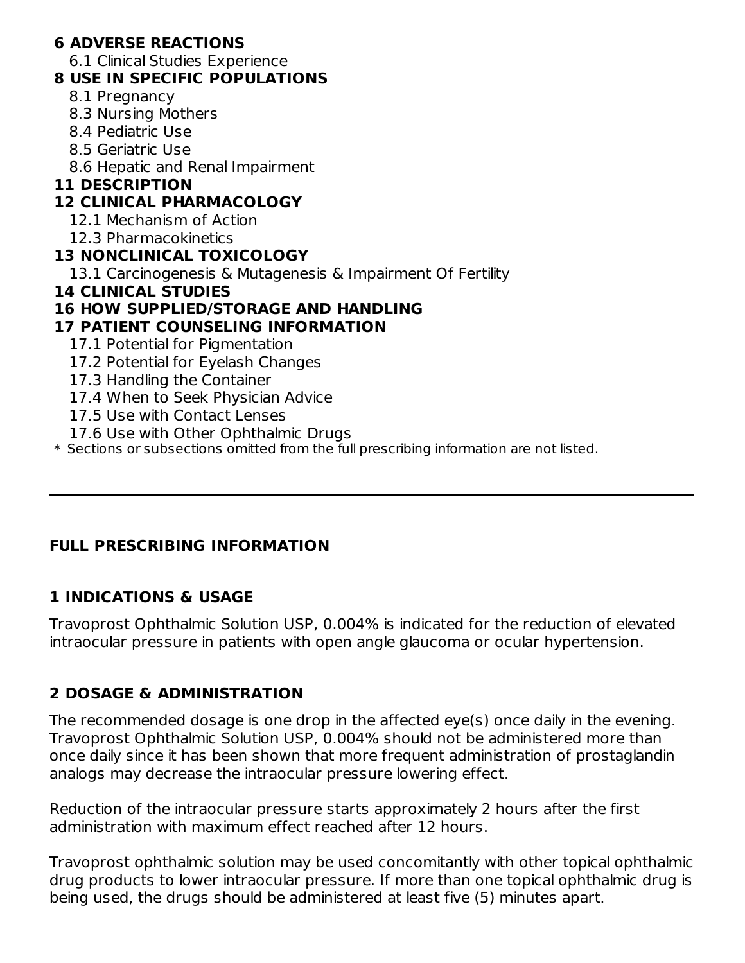#### **6 ADVERSE REACTIONS**

6.1 Clinical Studies Experience

#### **8 USE IN SPECIFIC POPULATIONS**

- 8.1 Pregnancy
- 8.3 Nursing Mothers
- 8.4 Pediatric Use
- 8.5 Geriatric Use
- 8.6 Hepatic and Renal Impairment

#### **11 DESCRIPTION**

#### **12 CLINICAL PHARMACOLOGY**

- 12.1 Mechanism of Action
- 12.3 Pharmacokinetics

#### **13 NONCLINICAL TOXICOLOGY**

13.1 Carcinogenesis & Mutagenesis & Impairment Of Fertility

#### **14 CLINICAL STUDIES**

#### **16 HOW SUPPLIED/STORAGE AND HANDLING**

#### **17 PATIENT COUNSELING INFORMATION**

- 17.1 Potential for Pigmentation
- 17.2 Potential for Eyelash Changes
- 17.3 Handling the Container
- 17.4 When to Seek Physician Advice
- 17.5 Use with Contact Lenses
- 17.6 Use with Other Ophthalmic Drugs

 $\ast$  Sections or subsections omitted from the full prescribing information are not listed.

## **FULL PRESCRIBING INFORMATION**

#### **1 INDICATIONS & USAGE**

Travoprost Ophthalmic Solution USP, 0.004% is indicated for the reduction of elevated intraocular pressure in patients with open angle glaucoma or ocular hypertension.

## **2 DOSAGE & ADMINISTRATION**

The recommended dosage is one drop in the affected eye(s) once daily in the evening. Travoprost Ophthalmic Solution USP, 0.004% should not be administered more than once daily since it has been shown that more frequent administration of prostaglandin analogs may decrease the intraocular pressure lowering effect.

Reduction of the intraocular pressure starts approximately 2 hours after the first administration with maximum effect reached after 12 hours.

Travoprost ophthalmic solution may be used concomitantly with other topical ophthalmic drug products to lower intraocular pressure. If more than one topical ophthalmic drug is being used, the drugs should be administered at least five (5) minutes apart.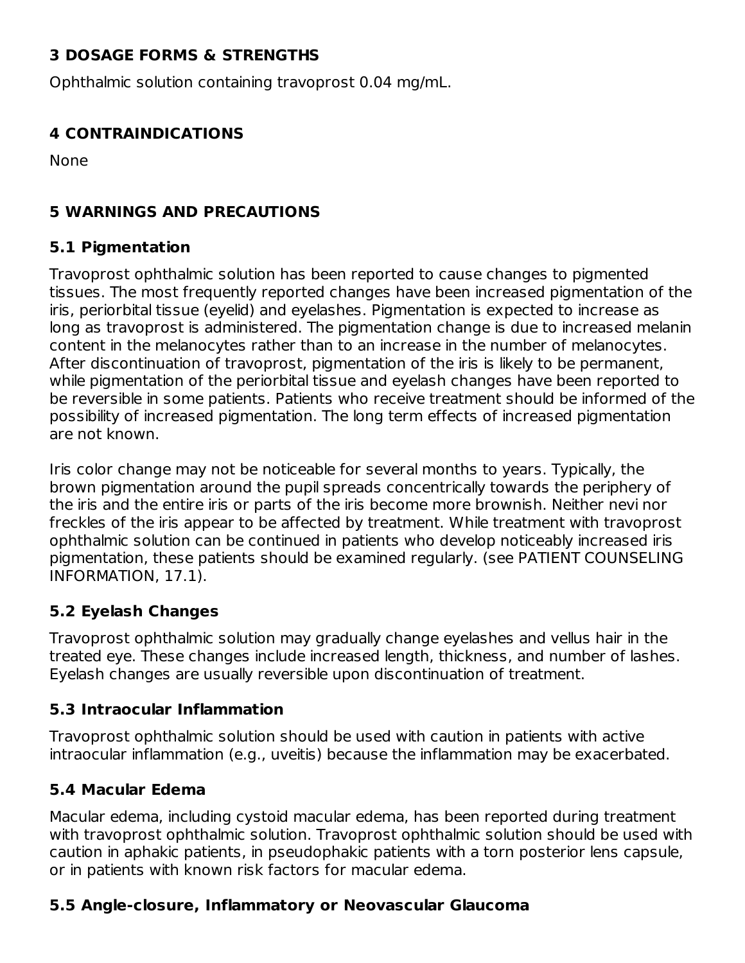# **3 DOSAGE FORMS & STRENGTHS**

Ophthalmic solution containing travoprost 0.04 mg/mL.

#### **4 CONTRAINDICATIONS**

None

#### **5 WARNINGS AND PRECAUTIONS**

#### **5.1 Pigmentation**

Travoprost ophthalmic solution has been reported to cause changes to pigmented tissues. The most frequently reported changes have been increased pigmentation of the iris, periorbital tissue (eyelid) and eyelashes. Pigmentation is expected to increase as long as travoprost is administered. The pigmentation change is due to increased melanin content in the melanocytes rather than to an increase in the number of melanocytes. After discontinuation of travoprost, pigmentation of the iris is likely to be permanent, while pigmentation of the periorbital tissue and eyelash changes have been reported to be reversible in some patients. Patients who receive treatment should be informed of the possibility of increased pigmentation. The long term effects of increased pigmentation are not known.

Iris color change may not be noticeable for several months to years. Typically, the brown pigmentation around the pupil spreads concentrically towards the periphery of the iris and the entire iris or parts of the iris become more brownish. Neither nevi nor freckles of the iris appear to be affected by treatment. While treatment with travoprost ophthalmic solution can be continued in patients who develop noticeably increased iris pigmentation, these patients should be examined regularly. (see PATIENT COUNSELING INFORMATION, 17.1).

#### **5.2 Eyelash Changes**

Travoprost ophthalmic solution may gradually change eyelashes and vellus hair in the treated eye. These changes include increased length, thickness, and number of lashes. Eyelash changes are usually reversible upon discontinuation of treatment.

#### **5.3 Intraocular Inflammation**

Travoprost ophthalmic solution should be used with caution in patients with active intraocular inflammation (e.g., uveitis) because the inflammation may be exacerbated.

## **5.4 Macular Edema**

Macular edema, including cystoid macular edema, has been reported during treatment with travoprost ophthalmic solution. Travoprost ophthalmic solution should be used with caution in aphakic patients, in pseudophakic patients with a torn posterior lens capsule, or in patients with known risk factors for macular edema.

## **5.5 Angle-closure, Inflammatory or Neovascular Glaucoma**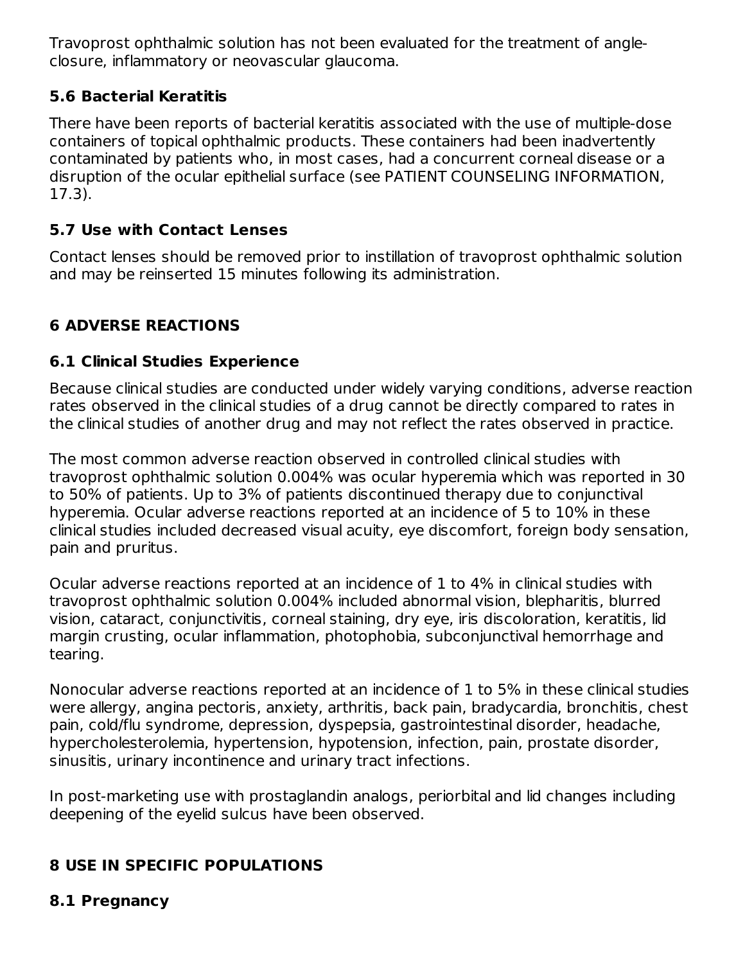Travoprost ophthalmic solution has not been evaluated for the treatment of angleclosure, inflammatory or neovascular glaucoma.

## **5.6 Bacterial Keratitis**

There have been reports of bacterial keratitis associated with the use of multiple-dose containers of topical ophthalmic products. These containers had been inadvertently contaminated by patients who, in most cases, had a concurrent corneal disease or a disruption of the ocular epithelial surface (see PATIENT COUNSELING INFORMATION, 17.3).

# **5.7 Use with Contact Lenses**

Contact lenses should be removed prior to instillation of travoprost ophthalmic solution and may be reinserted 15 minutes following its administration.

# **6 ADVERSE REACTIONS**

# **6.1 Clinical Studies Experience**

Because clinical studies are conducted under widely varying conditions, adverse reaction rates observed in the clinical studies of a drug cannot be directly compared to rates in the clinical studies of another drug and may not reflect the rates observed in practice.

The most common adverse reaction observed in controlled clinical studies with travoprost ophthalmic solution 0.004% was ocular hyperemia which was reported in 30 to 50% of patients. Up to 3% of patients discontinued therapy due to conjunctival hyperemia. Ocular adverse reactions reported at an incidence of 5 to 10% in these clinical studies included decreased visual acuity, eye discomfort, foreign body sensation, pain and pruritus.

Ocular adverse reactions reported at an incidence of 1 to 4% in clinical studies with travoprost ophthalmic solution 0.004% included abnormal vision, blepharitis, blurred vision, cataract, conjunctivitis, corneal staining, dry eye, iris discoloration, keratitis, lid margin crusting, ocular inflammation, photophobia, subconjunctival hemorrhage and tearing.

Nonocular adverse reactions reported at an incidence of 1 to 5% in these clinical studies were allergy, angina pectoris, anxiety, arthritis, back pain, bradycardia, bronchitis, chest pain, cold/flu syndrome, depression, dyspepsia, gastrointestinal disorder, headache, hypercholesterolemia, hypertension, hypotension, infection, pain, prostate disorder, sinusitis, urinary incontinence and urinary tract infections.

In post-marketing use with prostaglandin analogs, periorbital and lid changes including deepening of the eyelid sulcus have been observed.

# **8 USE IN SPECIFIC POPULATIONS**

#### **8.1 Pregnancy**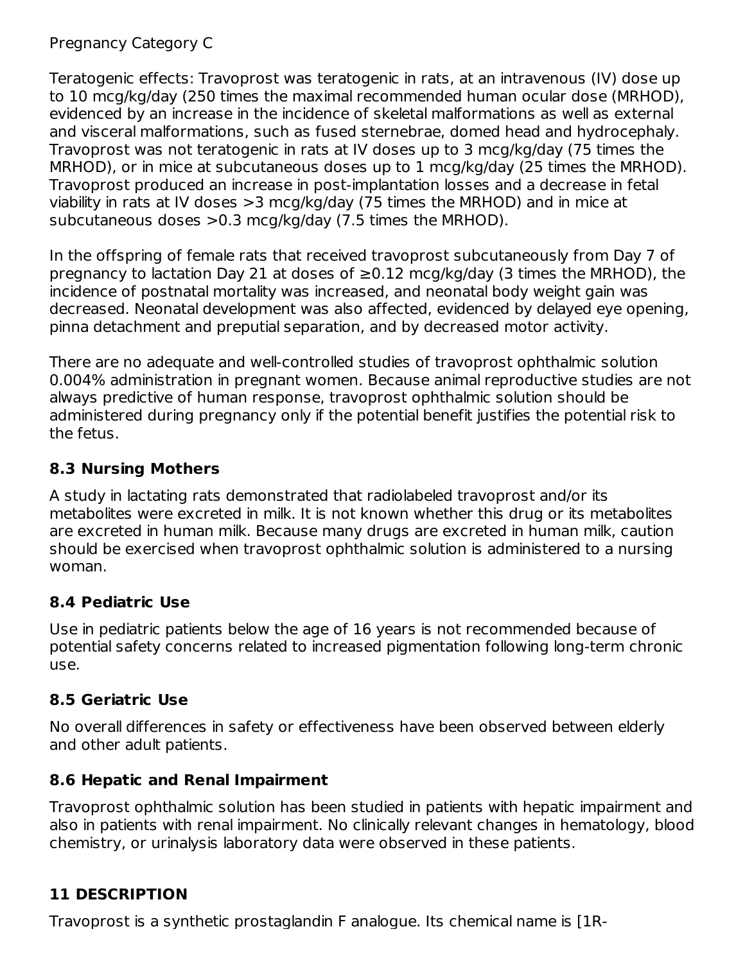Pregnancy Category C

Teratogenic effects: Travoprost was teratogenic in rats, at an intravenous (IV) dose up to 10 mcg/kg/day (250 times the maximal recommended human ocular dose (MRHOD), evidenced by an increase in the incidence of skeletal malformations as well as external and visceral malformations, such as fused sternebrae, domed head and hydrocephaly. Travoprost was not teratogenic in rats at IV doses up to 3 mcg/kg/day (75 times the MRHOD), or in mice at subcutaneous doses up to 1 mcg/kg/day (25 times the MRHOD). Travoprost produced an increase in post-implantation losses and a decrease in fetal viability in rats at IV doses >3 mcg/kg/day (75 times the MRHOD) and in mice at subcutaneous doses >0.3 mcg/kg/day (7.5 times the MRHOD).

In the offspring of female rats that received travoprost subcutaneously from Day 7 of pregnancy to lactation Day 21 at doses of  $\geq$ 0.12 mcg/kg/day (3 times the MRHOD), the incidence of postnatal mortality was increased, and neonatal body weight gain was decreased. Neonatal development was also affected, evidenced by delayed eye opening, pinna detachment and preputial separation, and by decreased motor activity.

There are no adequate and well-controlled studies of travoprost ophthalmic solution 0.004% administration in pregnant women. Because animal reproductive studies are not always predictive of human response, travoprost ophthalmic solution should be administered during pregnancy only if the potential benefit justifies the potential risk to the fetus.

## **8.3 Nursing Mothers**

A study in lactating rats demonstrated that radiolabeled travoprost and/or its metabolites were excreted in milk. It is not known whether this drug or its metabolites are excreted in human milk. Because many drugs are excreted in human milk, caution should be exercised when travoprost ophthalmic solution is administered to a nursing woman.

## **8.4 Pediatric Use**

Use in pediatric patients below the age of 16 years is not recommended because of potential safety concerns related to increased pigmentation following long-term chronic use.

## **8.5 Geriatric Use**

No overall differences in safety or effectiveness have been observed between elderly and other adult patients.

## **8.6 Hepatic and Renal Impairment**

Travoprost ophthalmic solution has been studied in patients with hepatic impairment and also in patients with renal impairment. No clinically relevant changes in hematology, blood chemistry, or urinalysis laboratory data were observed in these patients.

# **11 DESCRIPTION**

Travoprost is a synthetic prostaglandin F analogue. Its chemical name is [1R-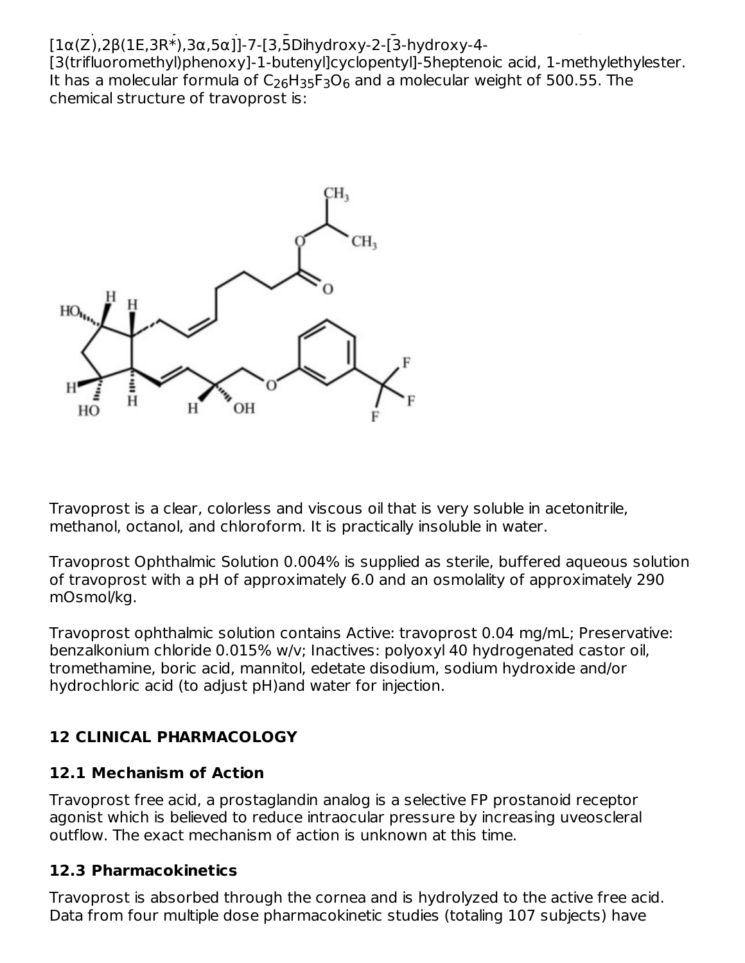#### Travoprost is a synthetic prostaglandin F analogue. Its chemical name is [1R- [1α(Z),2β(1E,3R\*),3α,5α]]-7-[3,5Dihydroxy-2-[3-hydroxy-4-

[3(trifluoromethyl)phenoxy]-1-butenyl]cyclopentyl]-5heptenoic acid, 1-methylethylester. It has a molecular formula of C<sub>26</sub>H<sub>35</sub>F<sub>3</sub>O<sub>6</sub> and a molecular weight of 500.55. The chemical structure of travoprost is:



Travoprost is a clear, colorless and viscous oil that is very soluble in acetonitrile, methanol, octanol, and chloroform. It is practically insoluble in water.

Travoprost Ophthalmic Solution 0.004% is supplied as sterile, buffered aqueous solution of travoprost with a pH of approximately 6.0 and an osmolality of approximately 290 mOsmol/kg.

Travoprost ophthalmic solution contains Active: travoprost 0.04 mg/mL; Preservative: benzalkonium chloride 0.015% w/v; Inactives: polyoxyl 40 hydrogenated castor oil, tromethamine, boric acid, mannitol, edetate disodium, sodium hydroxide and/or hydrochloric acid (to adjust pH)and water for injection.

# **12 CLINICAL PHARMACOLOGY**

# **12.1 Mechanism of Action**

Travoprost free acid, a prostaglandin analog is a selective FP prostanoid receptor agonist which is believed to reduce intraocular pressure by increasing uveoscleral outflow. The exact mechanism of action is unknown at this time.

# **12.3 Pharmacokinetics**

Travoprost is absorbed through the cornea and is hydrolyzed to the active free acid. Data from four multiple dose pharmacokinetic studies (totaling 107 subjects) have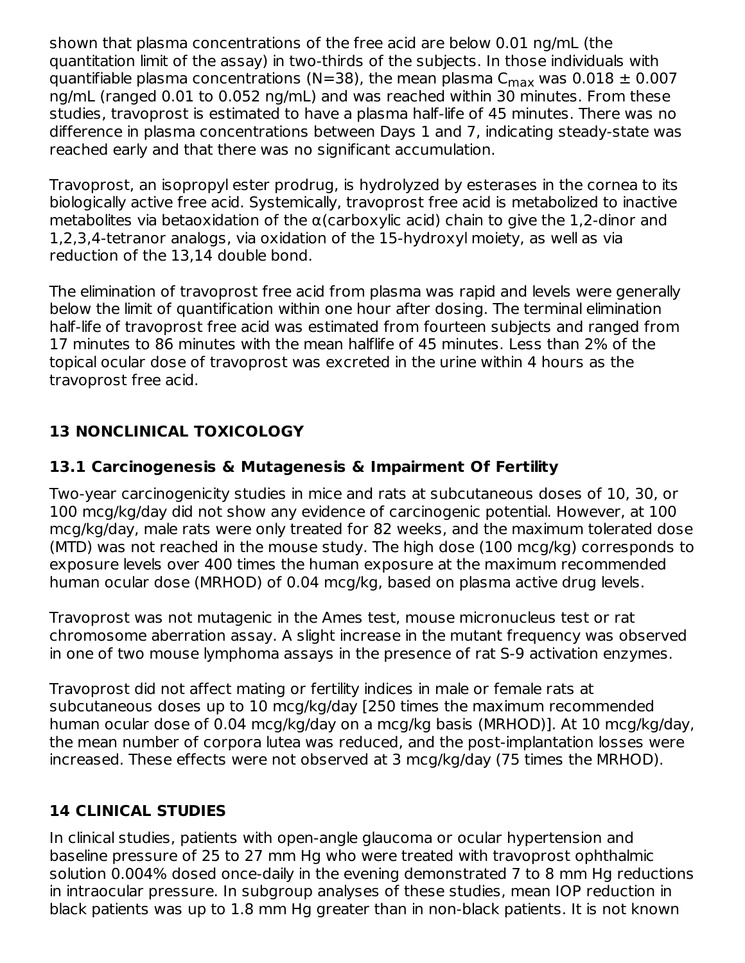shown that plasma concentrations of the free acid are below 0.01 ng/mL (the quantitation limit of the assay) in two-thirds of the subjects. In those individuals with quantifiable plasma concentrations (N=38), the mean plasma C $_{\sf max}$  was 0.018  $\pm$  0.007 ng/mL (ranged 0.01 to 0.052 ng/mL) and was reached within 30 minutes. From these studies, travoprost is estimated to have a plasma half-life of 45 minutes. There was no difference in plasma concentrations between Days 1 and 7, indicating steady-state was reached early and that there was no significant accumulation.

Travoprost, an isopropyl ester prodrug, is hydrolyzed by esterases in the cornea to its biologically active free acid. Systemically, travoprost free acid is metabolized to inactive metabolites via betaoxidation of the  $\alpha$ (carboxylic acid) chain to give the 1,2-dinor and 1,2,3,4-tetranor analogs, via oxidation of the 15-hydroxyl moiety, as well as via reduction of the 13,14 double bond.

The elimination of travoprost free acid from plasma was rapid and levels were generally below the limit of quantification within one hour after dosing. The terminal elimination half-life of travoprost free acid was estimated from fourteen subjects and ranged from 17 minutes to 86 minutes with the mean halflife of 45 minutes. Less than 2% of the topical ocular dose of travoprost was excreted in the urine within 4 hours as the travoprost free acid.

# **13 NONCLINICAL TOXICOLOGY**

# **13.1 Carcinogenesis & Mutagenesis & Impairment Of Fertility**

Two-year carcinogenicity studies in mice and rats at subcutaneous doses of 10, 30, or 100 mcg/kg/day did not show any evidence of carcinogenic potential. However, at 100 mcg/kg/day, male rats were only treated for 82 weeks, and the maximum tolerated dose (MTD) was not reached in the mouse study. The high dose (100 mcg/kg) corresponds to exposure levels over 400 times the human exposure at the maximum recommended human ocular dose (MRHOD) of 0.04 mcg/kg, based on plasma active drug levels.

Travoprost was not mutagenic in the Ames test, mouse micronucleus test or rat chromosome aberration assay. A slight increase in the mutant frequency was observed in one of two mouse lymphoma assays in the presence of rat S-9 activation enzymes.

Travoprost did not affect mating or fertility indices in male or female rats at subcutaneous doses up to 10 mcg/kg/day [250 times the maximum recommended human ocular dose of 0.04 mcg/kg/day on a mcg/kg basis (MRHOD)]. At 10 mcg/kg/day, the mean number of corpora lutea was reduced, and the post-implantation losses were increased. These effects were not observed at 3 mcg/kg/day (75 times the MRHOD).

# **14 CLINICAL STUDIES**

In clinical studies, patients with open-angle glaucoma or ocular hypertension and baseline pressure of 25 to 27 mm Hg who were treated with travoprost ophthalmic solution 0.004% dosed once-daily in the evening demonstrated 7 to 8 mm Hg reductions in intraocular pressure. In subgroup analyses of these studies, mean IOP reduction in black patients was up to 1.8 mm Hg greater than in non-black patients. It is not known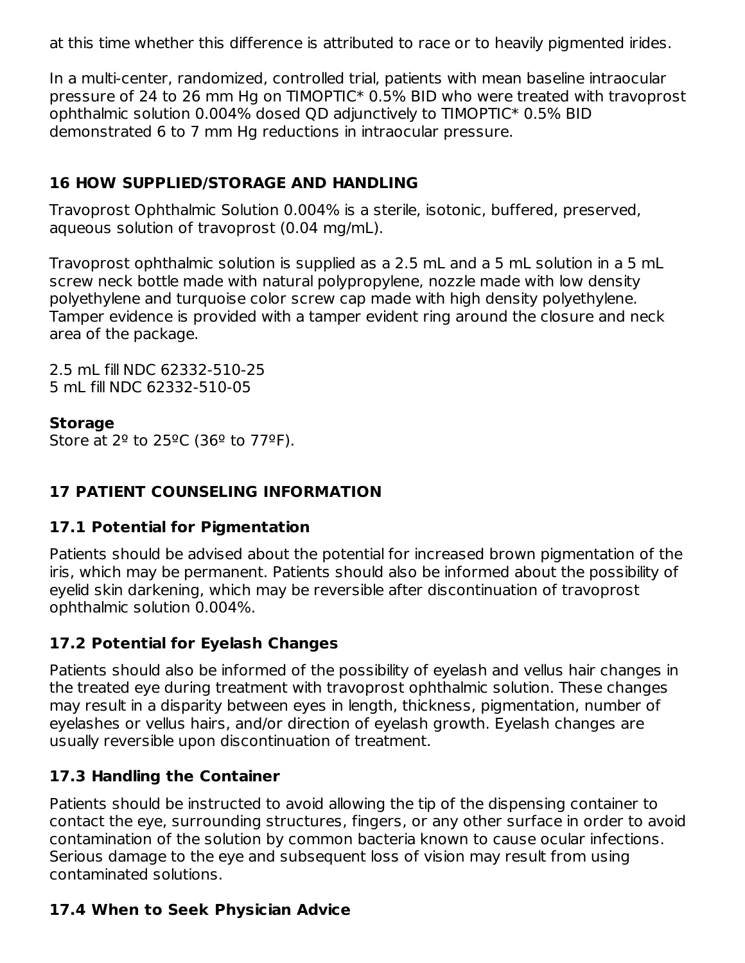at this time whether this difference is attributed to race or to heavily pigmented irides.

In a multi-center, randomized, controlled trial, patients with mean baseline intraocular pressure of 24 to 26 mm Hg on TIMOPTIC\* 0.5% BID who were treated with travoprost ophthalmic solution 0.004% dosed QD adjunctively to TIMOPTIC\* 0.5% BID demonstrated 6 to 7 mm Hg reductions in intraocular pressure.

## **16 HOW SUPPLIED/STORAGE AND HANDLING**

Travoprost Ophthalmic Solution 0.004% is a sterile, isotonic, buffered, preserved, aqueous solution of travoprost (0.04 mg/mL).

Travoprost ophthalmic solution is supplied as a 2.5 mL and a 5 mL solution in a 5 mL screw neck bottle made with natural polypropylene, nozzle made with low density polyethylene and turquoise color screw cap made with high density polyethylene. Tamper evidence is provided with a tamper evident ring around the closure and neck area of the package.

2.5 mL fill NDC 62332-510-25 5 mL fill NDC 62332-510-05

#### **Storage**

Store at  $2^{\circ}$  to  $25^{\circ}$ C (36<sup>°</sup> to 77<sup>°</sup>F).

# **17 PATIENT COUNSELING INFORMATION**

## **17.1 Potential for Pigmentation**

Patients should be advised about the potential for increased brown pigmentation of the iris, which may be permanent. Patients should also be informed about the possibility of eyelid skin darkening, which may be reversible after discontinuation of travoprost ophthalmic solution 0.004%.

## **17.2 Potential for Eyelash Changes**

Patients should also be informed of the possibility of eyelash and vellus hair changes in the treated eye during treatment with travoprost ophthalmic solution. These changes may result in a disparity between eyes in length, thickness, pigmentation, number of eyelashes or vellus hairs, and/or direction of eyelash growth. Eyelash changes are usually reversible upon discontinuation of treatment.

## **17.3 Handling the Container**

Patients should be instructed to avoid allowing the tip of the dispensing container to contact the eye, surrounding structures, fingers, or any other surface in order to avoid contamination of the solution by common bacteria known to cause ocular infections. Serious damage to the eye and subsequent loss of vision may result from using contaminated solutions.

## **17.4 When to Seek Physician Advice**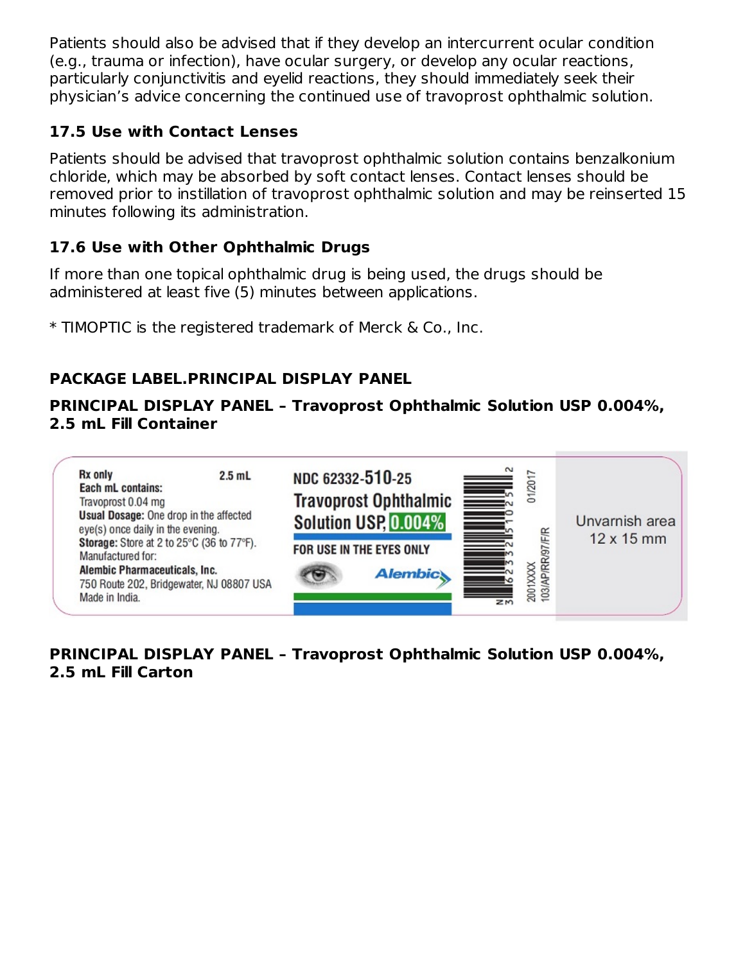Patients should also be advised that if they develop an intercurrent ocular condition (e.g., trauma or infection), have ocular surgery, or develop any ocular reactions, particularly conjunctivitis and eyelid reactions, they should immediately seek their physician's advice concerning the continued use of travoprost ophthalmic solution.

## **17.5 Use with Contact Lenses**

Patients should be advised that travoprost ophthalmic solution contains benzalkonium chloride, which may be absorbed by soft contact lenses. Contact lenses should be removed prior to instillation of travoprost ophthalmic solution and may be reinserted 15 minutes following its administration.

# **17.6 Use with Other Ophthalmic Drugs**

If more than one topical ophthalmic drug is being used, the drugs should be administered at least five (5) minutes between applications.

\* TIMOPTIC is the registered trademark of Merck & Co., Inc.

# **PACKAGE LABEL.PRINCIPAL DISPLAY PANEL**

## **PRINCIPAL DISPLAY PANEL – Travoprost Ophthalmic Solution USP 0.004%, 2.5 mL Fill Container**



# **PRINCIPAL DISPLAY PANEL – Travoprost Ophthalmic Solution USP 0.004%, 2.5 mL Fill Carton**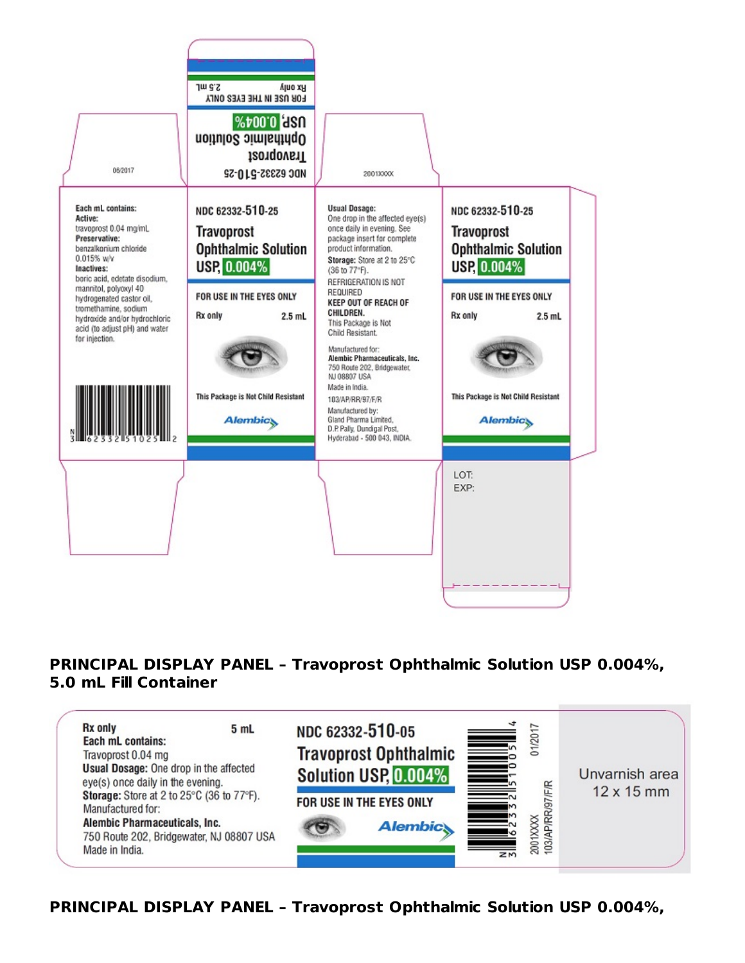

#### **PRINCIPAL DISPLAY PANEL – Travoprost Ophthalmic Solution USP 0.004%, 5.0 mL Fill Container**



**PRINCIPAL DISPLAY PANEL – Travoprost Ophthalmic Solution USP 0.004%,**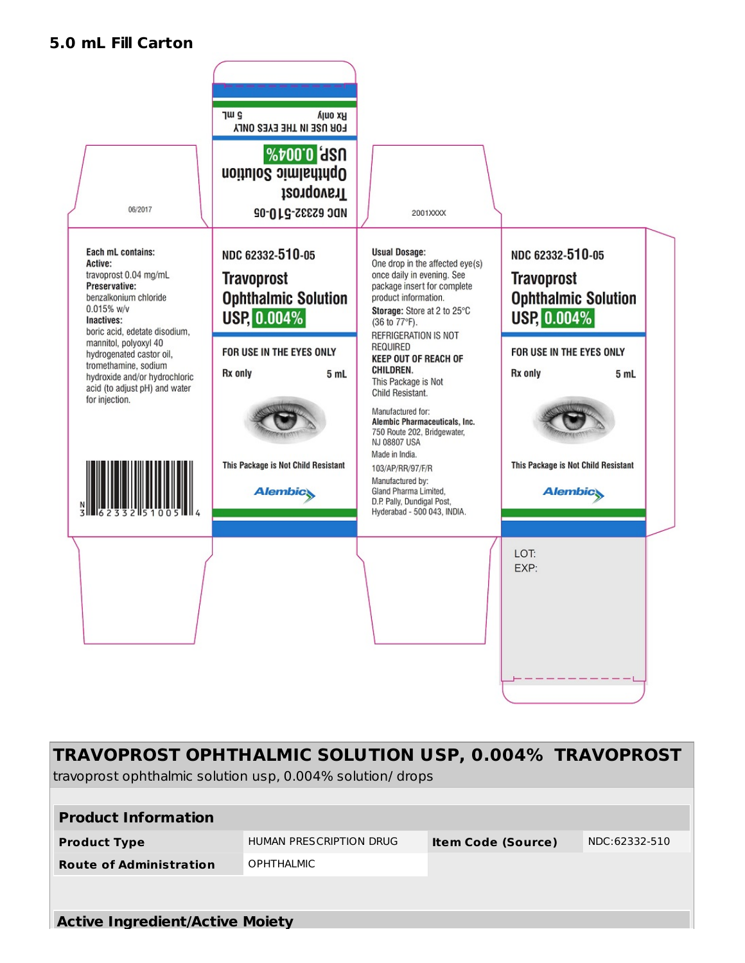#### **5.0 mL Fill Carton**



| TRAVOPROST OPHTHALMIC SOLUTION USP, 0.004% TRAVOPROST<br>travoprost ophthalmic solution usp, 0.004% solution/ drops |                         |                           |               |  |
|---------------------------------------------------------------------------------------------------------------------|-------------------------|---------------------------|---------------|--|
|                                                                                                                     |                         |                           |               |  |
| <b>Product Information</b>                                                                                          |                         |                           |               |  |
| <b>Product Type</b>                                                                                                 | HUMAN PRESCRIPTION DRUG | <b>Item Code (Source)</b> | NDC:62332-510 |  |
| <b>Route of Administration</b>                                                                                      | <b>OPHTHALMIC</b>       |                           |               |  |
|                                                                                                                     |                         |                           |               |  |
|                                                                                                                     |                         |                           |               |  |
| <b>Active Ingredient/Active Moiety</b>                                                                              |                         |                           |               |  |